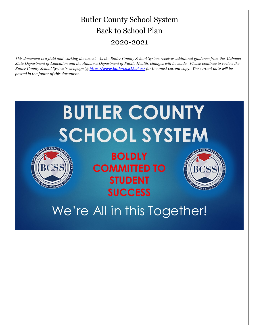# Butler County School System Back to School Plan 2020-2021

*This document is a fluid and working document. As the Butler County School System receives additional guidance from the Alabama State Department of Education and the Alabama Department of Public Health, changes will be made. Please continue to review the Butler County School System's webpage @ [https://www.butlerco.k12.al.us/](https://www.marengo.k12.al.us/) for the most current copy. The current date will be posted in the footer of this document.*

# **BUTLER COUNTY SCHOOL SYSTEM**



**BOLDLY COMMITTED TO STUDENT SUCCESS** 



# We're All in this Together!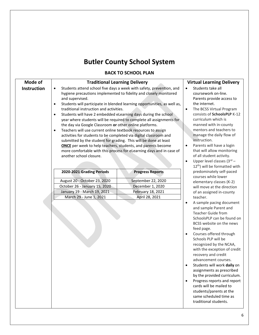## **Butler County School System**

#### **BACK TO SCHOOL PLAN**

| Mode of     | <b>Traditional Learning Delivery</b>                                                                                                                                                                                                                                                                                                                                                                                                                                                                                                                                                                                                                                                                                                                                                                                                                                                                        |                         | Virtua                                                                                                                                                    |
|-------------|-------------------------------------------------------------------------------------------------------------------------------------------------------------------------------------------------------------------------------------------------------------------------------------------------------------------------------------------------------------------------------------------------------------------------------------------------------------------------------------------------------------------------------------------------------------------------------------------------------------------------------------------------------------------------------------------------------------------------------------------------------------------------------------------------------------------------------------------------------------------------------------------------------------|-------------------------|-----------------------------------------------------------------------------------------------------------------------------------------------------------|
| Instruction | Students attend school five days a week with safety, prevention, and<br>hygiene precautions implemented to fidelity and closely monitored<br>and supervised.<br>Students will participate in blended learning opportunities, as well as,<br>$\bullet$<br>traditional instruction and activities.<br>Students will have 2 embedded eLearning days during the school<br>$\bullet$<br>year where students will be required to complete all assignments for<br>the day via Google Classroom or other online platforms.<br>Teachers will use current online textbook resources to assign<br>٠<br>activities for students to be completed via digital classroom and<br>submitted by the student for grading. This will be done at least<br><b>ONCE</b> per week to help teachers, students, and parents become<br>more comfortable with this process for eLearning days and in case of<br>another school closure. |                         | Stu<br>cou<br>Par<br>the<br>The<br>$\bullet$<br>con<br>cur<br>ma<br>me<br>ma<br>inst<br>Par<br>tha<br>of a                                                |
|             |                                                                                                                                                                                                                                                                                                                                                                                                                                                                                                                                                                                                                                                                                                                                                                                                                                                                                                             |                         | Upp<br>$12^{\text{tl}}$                                                                                                                                   |
|             | 2020-2021 Grading Periods                                                                                                                                                                                                                                                                                                                                                                                                                                                                                                                                                                                                                                                                                                                                                                                                                                                                                   | <b>Progress Reports</b> | pre<br>cou                                                                                                                                                |
|             | August 20 - October 23, 2020                                                                                                                                                                                                                                                                                                                                                                                                                                                                                                                                                                                                                                                                                                                                                                                                                                                                                | September 22, 2020      | eler                                                                                                                                                      |
|             | October 26 - January 15, 2020                                                                                                                                                                                                                                                                                                                                                                                                                                                                                                                                                                                                                                                                                                                                                                                                                                                                               | December 1, 2020        | will                                                                                                                                                      |
|             | January 19 - March 19, 2021                                                                                                                                                                                                                                                                                                                                                                                                                                                                                                                                                                                                                                                                                                                                                                                                                                                                                 | February 18, 2021       | of a                                                                                                                                                      |
|             | March 29 - June 1, 2021                                                                                                                                                                                                                                                                                                                                                                                                                                                                                                                                                                                                                                                                                                                                                                                                                                                                                     | April 28, 2021          | tea<br>A sa<br>anc<br>Tea<br>Sch<br><b>BCS</b><br>fee<br>Cou<br>Sch<br>rec<br>wit<br>rec<br>adv<br>Stu<br>assi<br>by t<br>Pro<br>car<br>stu<br>san<br>tra |

#### **Virtual Learning Delivery**

- dents take all rsework on-line. ents provide access to internet.
- **BCSS Virtual Program** consists of **SchoolsPLP** K-12 riculum which is nned with in-county ntors and teachers to nage the daily flow of truction.
- ents will have a login at will allow monitoring all student activity.
- per level classes (3rd <sup>h</sup>) will be formatted with dominately self-paced irses while lower mentary classes (K-2) move at the direction an assigned in-county cher.
- ample pacing document d sample Parent and cher Guide from oolsPLP can be found on SS website on the news d page.
- urses offered through ools PLP will be ognized by the NCAA, h the exception of credit overy and credit ancement courses.
- dents will work daily on ignments as prescribed the provided curriculum.
- gress reports and report ds will be mailed to dents/parents at the ne scheduled time as ditional students.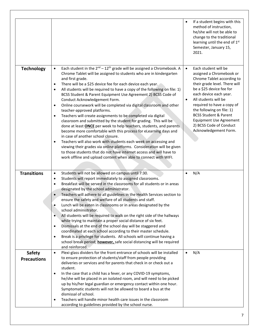|                                     |                                                                                                                                                                                                                                                                                                                                                                                                                                                                                                                                                                                                                                                                                                                                                                                                                                                                                                                                                                                                                                                                                                                                                                                                                              | If a student begins with this<br>method of instruction,<br>he/she will not be able to<br>change to the traditional<br>learning until the end of 1st<br>Semester, January 15,<br>2021.                                                                                                                                                                                                                        |
|-------------------------------------|------------------------------------------------------------------------------------------------------------------------------------------------------------------------------------------------------------------------------------------------------------------------------------------------------------------------------------------------------------------------------------------------------------------------------------------------------------------------------------------------------------------------------------------------------------------------------------------------------------------------------------------------------------------------------------------------------------------------------------------------------------------------------------------------------------------------------------------------------------------------------------------------------------------------------------------------------------------------------------------------------------------------------------------------------------------------------------------------------------------------------------------------------------------------------------------------------------------------------|--------------------------------------------------------------------------------------------------------------------------------------------------------------------------------------------------------------------------------------------------------------------------------------------------------------------------------------------------------------------------------------------------------------|
| <b>Technology</b>                   | Each student in the $2^{nd} - 12^{th}$ grade will be assigned a Chromebook. A<br>$\bullet$<br>Chrome Tablet will be assigned to students who are in kindergarten<br>and first grade.<br>There will be a \$25 device fee for each device each year.<br>$\bullet$<br>All students will be required to have a copy of the following on file: 1)<br>$\bullet$<br>BCSS Student & Parent Equipment Use Agreement 2) BCSS Code of<br>Conduct Acknowledgement Form.<br>Online coursework will be completed via digital classroom and other<br>$\bullet$<br>teacher-approved platforms.<br>Teachers will create assignments to be completed via digital<br>$\bullet$<br>classroom and submitted by the student for grading. This will be<br>done at least <b>ONCE</b> per week to help teachers, students, and parents<br>become more comfortable with this process for eLearning days and<br>in case of another school closure.<br>Teachers will also work with students each week on accessing and<br>$\bullet$<br>viewing their grades via online platforms. Consideration will be given<br>to those students that do not have internet access and will have to<br>work offline and upload content when able to connect with WIFI. | Each student will be<br>$\bullet$<br>assigned a Chromebook or<br>Chrome Tablet according to<br>their grade level. There will<br>be a \$25 device fee for<br>each device each year.<br>All students will be<br>$\bullet$<br>required to have a copy of<br>the following on file: 1)<br><b>BCSS Student &amp; Parent</b><br><b>Equipment Use Agreement</b><br>2) BCSS Code of Conduct<br>Acknowledgement Form. |
| <b>Transitions</b>                  | Students will not be allowed on campus until 7:30.<br>$\bullet$<br>Students will report immediately to assigned classrooms.<br>$\bullet$<br>Breakfast will be served in the classrooms for all students or in areas<br>$\bullet$<br>designated by the school administrator.<br>Teachers will adhere to all guidelines in the Health Services section to<br>$\bullet$<br>ensure the safety and welfare of all students and staff.<br>Lunch will be eaten in classrooms or in areas designated by the<br>$\bullet$<br>school administrator.<br>All students will be required to walk on the right side of the hallways<br>۰<br>while trying to maintain a proper social distance of six feet.                                                                                                                                                                                                                                                                                                                                                                                                                                                                                                                                  | N/A<br>$\bullet$                                                                                                                                                                                                                                                                                                                                                                                             |
| <b>Safety</b><br><b>Precautions</b> | Dismissals at the end of the school day will be staggered and<br>$\bullet$<br>coordinated at each school according to their master schedule.<br>Break is a privilege for students. All schools will continue having a<br>$\bullet$<br>school break period; however, safe social distancing will be required<br>and reinforced.<br>Plexi-glass dividers for the front entrance of schools will be installed<br>$\bullet$<br>to ensure protection of students/staff from people providing<br>deliveries or services and for parents that check in or check out a                                                                                                                                                                                                                                                                                                                                                                                                                                                                                                                                                                                                                                                               | N/A                                                                                                                                                                                                                                                                                                                                                                                                          |
|                                     | student.<br>In the case that a child has a fever, or any COVID-19 symptoms,<br>$\bullet$<br>he/she will be placed in an isolated room, and will need to be picked<br>up by his/her legal guardian or emergency contact within one hour.<br>Symptomatic students will not be allowed to board a bus at the<br>dismissal of school.<br>Teachers will handle minor health care issues in the classroom<br>$\bullet$<br>according to guidelines provided by the school nurse.                                                                                                                                                                                                                                                                                                                                                                                                                                                                                                                                                                                                                                                                                                                                                    |                                                                                                                                                                                                                                                                                                                                                                                                              |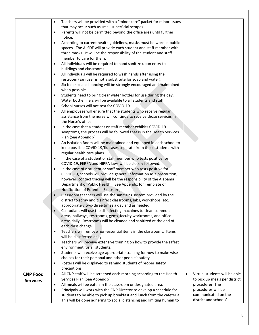|                 | Teachers will be provided with a "minor care" packet for minor issues<br>$\bullet$                                      |                                            |
|-----------------|-------------------------------------------------------------------------------------------------------------------------|--------------------------------------------|
|                 | that may occur such as small superficial scrapes.                                                                       |                                            |
|                 | Parents will not be permitted beyond the office area until further<br>$\bullet$                                         |                                            |
|                 | notice.                                                                                                                 |                                            |
|                 | According to current health guidelines, masks must be worn in public                                                    |                                            |
|                 | spaces. The ALSDE will provide each student and staff member with                                                       |                                            |
|                 | three masks. It will be the responsibility of the student and staff<br>member to care for them.                         |                                            |
|                 | All individuals will be required to hand sanitize upon entry to<br>$\bullet$                                            |                                            |
|                 | buildings and classrooms.                                                                                               |                                            |
|                 | All individuals will be required to wash hands after using the                                                          |                                            |
|                 | restroom (sanitizer is not a substitute for soap and water).                                                            |                                            |
|                 | Six feet social distancing will be strongly encouraged and maintained<br>$\bullet$                                      |                                            |
|                 | when possible.                                                                                                          |                                            |
|                 | Students need to bring clear water bottles for use during the day.<br>$\bullet$                                         |                                            |
|                 | Water bottle fillers will be available to all students and staff.                                                       |                                            |
|                 | School nurses will not test for COVID-19.                                                                               |                                            |
|                 | All employees will ensure that the students who receive regular                                                         |                                            |
|                 | assistance from the nurse will continue to receive those services in                                                    |                                            |
|                 | the Nurse's office.                                                                                                     |                                            |
|                 | In the case that a student or staff member exhibits COVID-19<br>$\bullet$                                               |                                            |
|                 | symptoms, the process will be followed that is in the Health Services                                                   |                                            |
|                 | Plan (See Appendix).<br>An Isolation Room will be maintained and equipped in each school to<br>$\bullet$                |                                            |
|                 | keep possible COVID-19/flu cases separate from those students with                                                      |                                            |
|                 | regular health care plans.                                                                                              |                                            |
|                 | In the case of a student or staff member who tests positive for<br>$\bullet$                                            |                                            |
|                 | COVID-19, FERPA and HIPPA laws will be closely followed.                                                                |                                            |
|                 | In the case of a student or staff member who tests positive for<br>$\bullet$                                            |                                            |
|                 | COVID-19, schools will provide general information as a precaution;                                                     |                                            |
|                 | however, contact tracing will be the responsibility of the Alabama                                                      |                                            |
|                 | Department of Public Health. (See Appendix for Template of                                                              |                                            |
|                 | Notification of Potential Exposure)                                                                                     |                                            |
|                 | Classroom teachers will use the sanitizing system provided by the                                                       |                                            |
|                 | district to spray and disinfect classrooms, labs, workshops, etc.<br>appropriately two-three times a day and as needed. |                                            |
|                 | Custodians will use the disinfecting machines to clean common<br>$\bullet$                                              |                                            |
|                 | areas, hallways, restrooms, gyms, faculty workrooms, and office                                                         |                                            |
|                 | areas daily. Restrooms will be cleaned and sanitized at the end of                                                      |                                            |
|                 | each class change.                                                                                                      |                                            |
|                 | Teachers will remove non-essential items in the classrooms. Items<br>$\bullet$                                          |                                            |
|                 | will be disinfected daily.                                                                                              |                                            |
|                 | Teachers will receive extensive training on how to provide the safest<br>$\bullet$                                      |                                            |
|                 | environment for all students.                                                                                           |                                            |
|                 | Students will receive age-appropriate training for how to make wise<br>$\bullet$                                        |                                            |
|                 | choices for their personal and other people's safety.                                                                   |                                            |
|                 | Posters will be displayed to remind students of proper safety<br>$\bullet$                                              |                                            |
|                 | precautions.<br>All CNP staff will be screened each morning according to the Health                                     | Virtual students will be able<br>$\bullet$ |
| <b>CNP Food</b> | $\bullet$<br>Services Plan (See Appendix).                                                                              | to pick up meals per district              |
| <b>Services</b> | All meals will be eaten in the classroom or designated area.<br>$\bullet$                                               | procedures. The                            |
|                 | Principals will work with the CNP Director to develop a schedule for<br>$\bullet$                                       | procedures will be                         |
|                 | students to be able to pick up breakfast and lunch from the cafeteria.                                                  | communicated on the                        |
|                 | This will be done adhering to social distancing and limiting human to                                                   | district and schools'                      |
|                 |                                                                                                                         |                                            |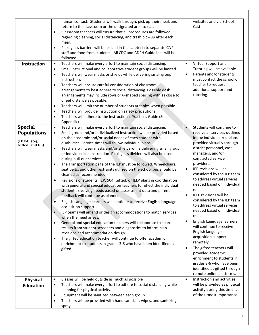| Instruction                                                            | human contact. Students will walk through, pick up their meal, and<br>return to the classroom or the designated area to eat.<br>Classroom teachers will ensure that all procedures are followed<br>$\bullet$<br>regarding cleaning, social distancing, and trash pick-up after each<br>meal.<br>Plexi-glass barriers will be placed in the cafeteria to separate CNP<br>$\bullet$<br>staff and food from students. All CDC and ADPH Guidelines will be<br>followed.<br>Teachers will make every effort to maintain social distancing.<br>$\bullet$<br>Small instructional and collaborative student groups will be limited.<br>$\bullet$<br>Teachers will wear masks or shields while delivering small group<br>$\bullet$<br>instruction.<br>Teachers will ensure careful consideration of classroom<br>$\bullet$<br>arrangements to best adhere to social distancing. Possible desk<br>arrangements may include rows or u-shaped spacing with as close to<br>6 feet distance as possible.<br>Teachers will limit the number of students at tables when possible.<br>$\bullet$<br>Teachers will provide instruction on safety precautions.<br>$\bullet$<br>Teachers will adhere to the Instructional Practices Guide (See<br>$\bullet$<br>Appendix).                                                                                                                                                                                                                                                               | websites and via School<br>Cast.<br>$\bullet$<br>Virtual Support and<br>Tutoring will be available.<br>Parents and/or students<br>$\bullet$<br>must contact the school or<br>teacher to request<br>additional support and<br>tutoring.                                                                                                                                                                                                                                                                                                                                                                                                                                                                                                                                                                                                  |
|------------------------------------------------------------------------|--------------------------------------------------------------------------------------------------------------------------------------------------------------------------------------------------------------------------------------------------------------------------------------------------------------------------------------------------------------------------------------------------------------------------------------------------------------------------------------------------------------------------------------------------------------------------------------------------------------------------------------------------------------------------------------------------------------------------------------------------------------------------------------------------------------------------------------------------------------------------------------------------------------------------------------------------------------------------------------------------------------------------------------------------------------------------------------------------------------------------------------------------------------------------------------------------------------------------------------------------------------------------------------------------------------------------------------------------------------------------------------------------------------------------------------------------------------------------------------------------------------------|-----------------------------------------------------------------------------------------------------------------------------------------------------------------------------------------------------------------------------------------------------------------------------------------------------------------------------------------------------------------------------------------------------------------------------------------------------------------------------------------------------------------------------------------------------------------------------------------------------------------------------------------------------------------------------------------------------------------------------------------------------------------------------------------------------------------------------------------|
| <b>Special</b><br><b>Populations</b><br>(IDEA, 504,<br>Gifted, and EL) | Teachers will make every effort to maintain social distancing.<br>$\bullet$<br>Small group and/or individualized instruction will be provided based<br>$\bullet$<br>on the academic and/or social needs of each student with<br>disabilities. Service times will follow individual plans.<br>Teachers will wear masks and/or shields while delivering small group<br>$\bullet$<br>or individualized instruction. Plexi-glass dividers will also be used<br>during pull-out services.<br>The Transportation page of the IEP must be followed. Wheelchairs,<br>$\bullet$<br>seat belts, and other restraints utilized on the school bus should be<br>cleaned as recommended.<br>Revisions of students' IEP, 504, Gifted, or IELP plans in coordination<br>$\bullet$<br>with general and special education teachers to reflect the individual<br>student's evolving needs based on assessment data and parent<br>feedback will continue as planned.<br>English Language learners will continue to receive English language<br>٠<br>acquisition support.<br>IEP teams will amend or design accommodations to match services<br>$\bullet$<br>when the need arises.<br>General and special education teachers will collaborate to share<br>$\bullet$<br>results from student screeners and diagnostics to inform plan<br>revisions and accommodation design.<br>The gifted education teacher will continue to offer academic<br>$\bullet$<br>enrichment to students in grades 3-6 who have been identified as<br>gifted. | $\bullet$<br>Students will continue to<br>receive all services outlined<br>in the individualized plans<br>provided virtually through<br>district personnel, case<br>managers, and/or<br>contracted service<br>providers.<br>IEP revisions will be<br>$\bullet$<br>considered by the IEP team<br>to address virtual services<br>needed based on individual<br>needs.<br><b>IELP</b> revisions will be<br>$\bullet$<br>considered by the IEP team<br>to address virtual services<br>needed based on individual<br>needs.<br>English Language learners<br>$\bullet$<br>will continue to receive<br>English language<br>acquisition support<br>remotely.<br>The gifted teachers will<br>$\bullet$<br>provided academic<br>enrichment to students in<br>grades 3-6 who have been<br>identified as gifted through<br>remote online platforms. |
| <b>Physical</b><br><b>Education</b>                                    | Classes will be held outside as much as possible<br>$\bullet$<br>Teachers will make every effort to adhere to social distancing while<br>$\bullet$<br>planning for physical activity.<br>Equipment will be sanitized between each group.<br>$\bullet$<br>Teachers will be provided with hand sanitizer, wipes, and sanitizing<br>$\bullet$<br>spray.                                                                                                                                                                                                                                                                                                                                                                                                                                                                                                                                                                                                                                                                                                                                                                                                                                                                                                                                                                                                                                                                                                                                                               | Instruction and activities<br>$\bullet$<br>will be provided as physical<br>activity during this time is<br>of the utmost importance.                                                                                                                                                                                                                                                                                                                                                                                                                                                                                                                                                                                                                                                                                                    |